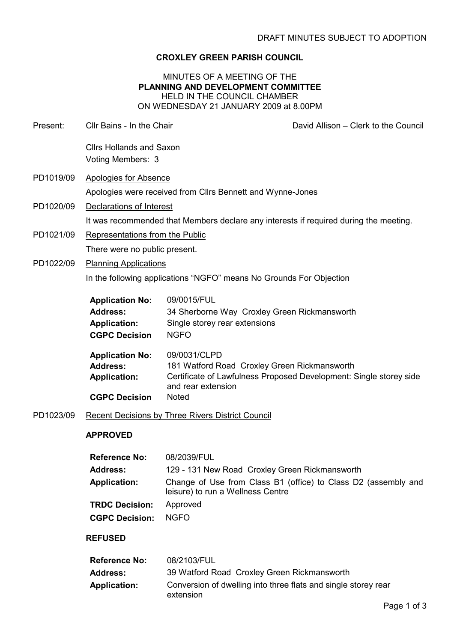# CROXLEY GREEN PARISH COUNCIL

## MINUTES OF A MEETING OF THE PLANNING AND DEVELOPMENT COMMITTEE HELD IN THE COUNCIL CHAMBER ON WEDNESDAY 21 JANUARY 2009 at 8.00PM

| Present:  | Cllr Bains - In the Chair                                                                |                                                                                                             | David Allison - Clerk to the Council                               |  |
|-----------|------------------------------------------------------------------------------------------|-------------------------------------------------------------------------------------------------------------|--------------------------------------------------------------------|--|
|           | <b>Cllrs Hollands and Saxon</b><br>Voting Members: 3                                     |                                                                                                             |                                                                    |  |
| PD1019/09 | <b>Apologies for Absence</b>                                                             |                                                                                                             |                                                                    |  |
|           | Apologies were received from Cllrs Bennett and Wynne-Jones                               |                                                                                                             |                                                                    |  |
| PD1020/09 | Declarations of Interest                                                                 |                                                                                                             |                                                                    |  |
|           | It was recommended that Members declare any interests if required during the meeting.    |                                                                                                             |                                                                    |  |
| PD1021/09 | Representations from the Public                                                          |                                                                                                             |                                                                    |  |
|           | There were no public present.                                                            |                                                                                                             |                                                                    |  |
| PD1022/09 | <b>Planning Applications</b>                                                             |                                                                                                             |                                                                    |  |
|           | In the following applications "NGFO" means No Grounds For Objection                      |                                                                                                             |                                                                    |  |
|           | <b>Application No:</b><br><b>Address:</b><br><b>Application:</b><br><b>CGPC Decision</b> | 09/0015/FUL<br>34 Sherborne Way Croxley Green Rickmansworth<br>Single storey rear extensions<br><b>NGFO</b> |                                                                    |  |
|           | <b>Application No:</b><br><b>Address:</b><br><b>Application:</b><br><b>CGPC Decision</b> | 09/0031/CLPD<br>181 Watford Road Croxley Green Rickmansworth<br>and rear extension<br><b>Noted</b>          | Certificate of Lawfulness Proposed Development: Single storey side |  |
| PD1023/09 | <b>Recent Decisions by Three Rivers District Council</b>                                 |                                                                                                             |                                                                    |  |
|           | <b>APPROVED</b>                                                                          |                                                                                                             |                                                                    |  |
|           | <b>Reference No:</b>                                                                     | 08/2039/FUL                                                                                                 |                                                                    |  |
|           | <b>Address:</b>                                                                          | 129 - 131 New Road Croxley Green Rickmansworth                                                              |                                                                    |  |
|           | <b>Application:</b>                                                                      | leisure) to run a Wellness Centre                                                                           | Change of Use from Class B1 (office) to Class D2 (assembly and     |  |
|           | <b>TRDC Decision:</b>                                                                    | Approved                                                                                                    |                                                                    |  |
|           | <b>CGPC Decision:</b>                                                                    | <b>NGFO</b>                                                                                                 |                                                                    |  |
|           | <b>REFUSED</b>                                                                           |                                                                                                             |                                                                    |  |
|           | <b>Reference No:</b>                                                                     | 08/2103/FUL                                                                                                 |                                                                    |  |
|           | <b>Address:</b>                                                                          | 39 Watford Road Croxley Green Rickmansworth                                                                 |                                                                    |  |
|           | <b>Application:</b>                                                                      | Conversion of dwelling into three flats and single storey rear<br>extension                                 |                                                                    |  |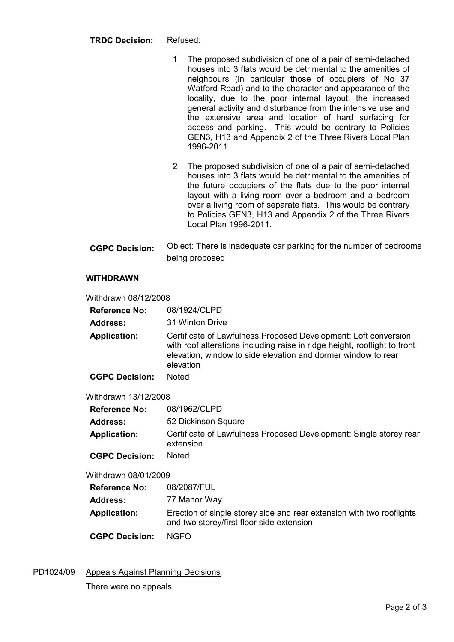- 1 The proposed subdivision of one of a pair of semi-detached houses into 3 flats would be detrimental to the amenities of neighbours (in particular those of occupiers of No 37 Watford Road) and to the character and appearance of the locality, due to the poor internal layout, the increased general activity and disturbance from the intensive use and the extensive area and location of hard surfacing for access and parking. This would be contrary to Policies GEN3, H13 and Appendix 2 of the Three Rivers Local Plan 1996-2011.
- 2 The proposed subdivision of one of a pair of semi-detached houses into 3 flats would be detrimental to the amenities of the future occupiers of the flats due to the poor internal layout with a living room over a bedroom and a bedroom over a living room of separate flats. This would be contrary to Policies GEN3, H13 and Appendix 2 of the Three Rivers Local Plan 1996-2011.
- CGPC Decision: Object: There is inadequate car parking for the number of bedrooms being proposed

## WITHDRAWN

Withdrawn 08/12/2008

- Reference No: 08/1924/CLPD
- Address: 31 Winton Drive
- Application: Certificate of Lawfulness Proposed Development: Loft conversion with roof alterations including raise in ridge height, rooflight to front elevation, window to side elevation and dormer window to rear elevation
- CGPC Decision: Noted

Withdrawn 13/12/2008

- Reference No: 08/1962/CLPD
- Address: 52 Dickinson Square
- Application: Certificate of Lawfulness Proposed Development: Single storey rear extension
- CGPC Decision: Noted

Withdrawn 08/01/2009

| <b>Reference No:</b><br>Address: | 08/2087/FUL<br>77 Manor Way                                                                                        |
|----------------------------------|--------------------------------------------------------------------------------------------------------------------|
| <b>Application:</b>              | Erection of single storey side and rear extension with two rooflights<br>and two storey/first floor side extension |
| <b>CGPC Decision:</b>            | NGFO.                                                                                                              |

PD1024/09 Appeals Against Planning Decisions There were no appeals.